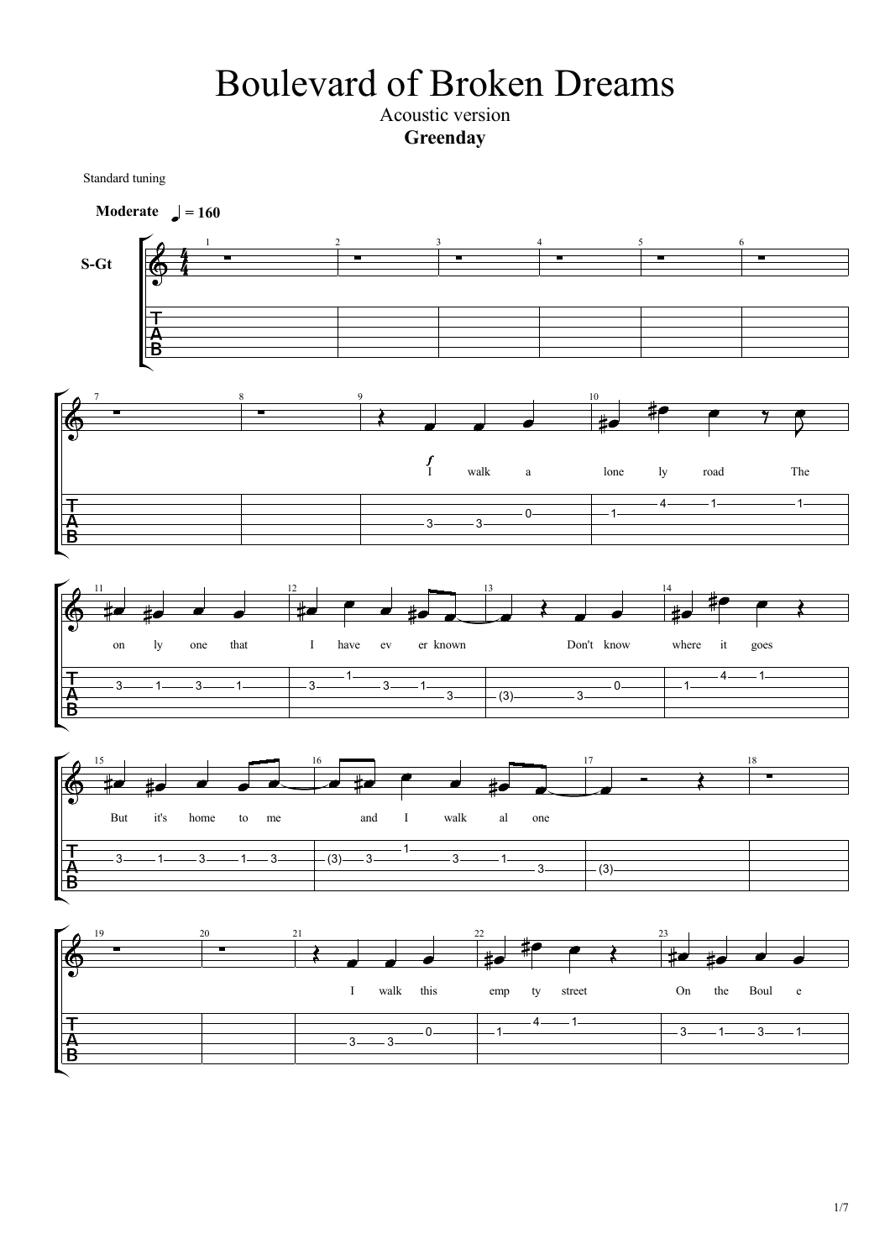Boulevard of Broken Dreams

Acoustic version **Greenday** 

Standard tuning

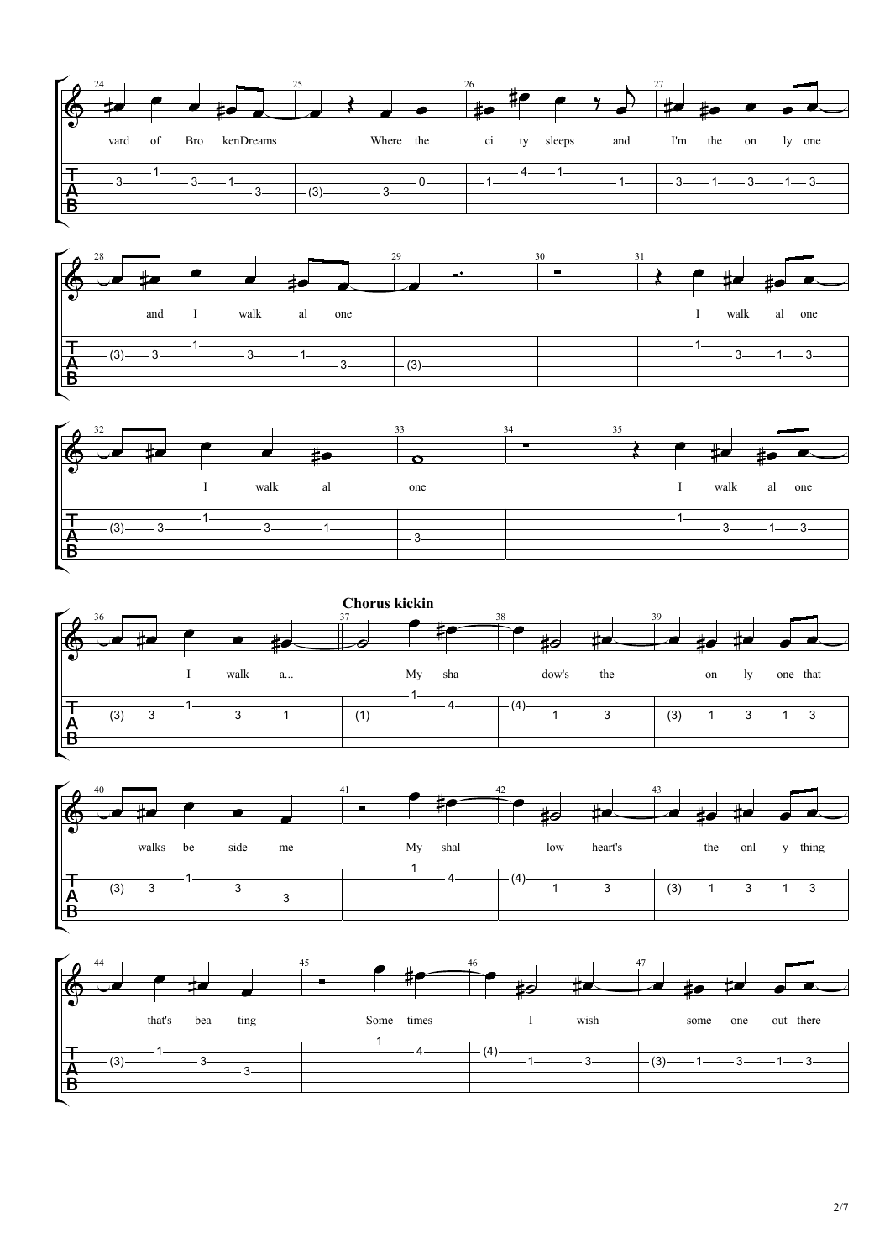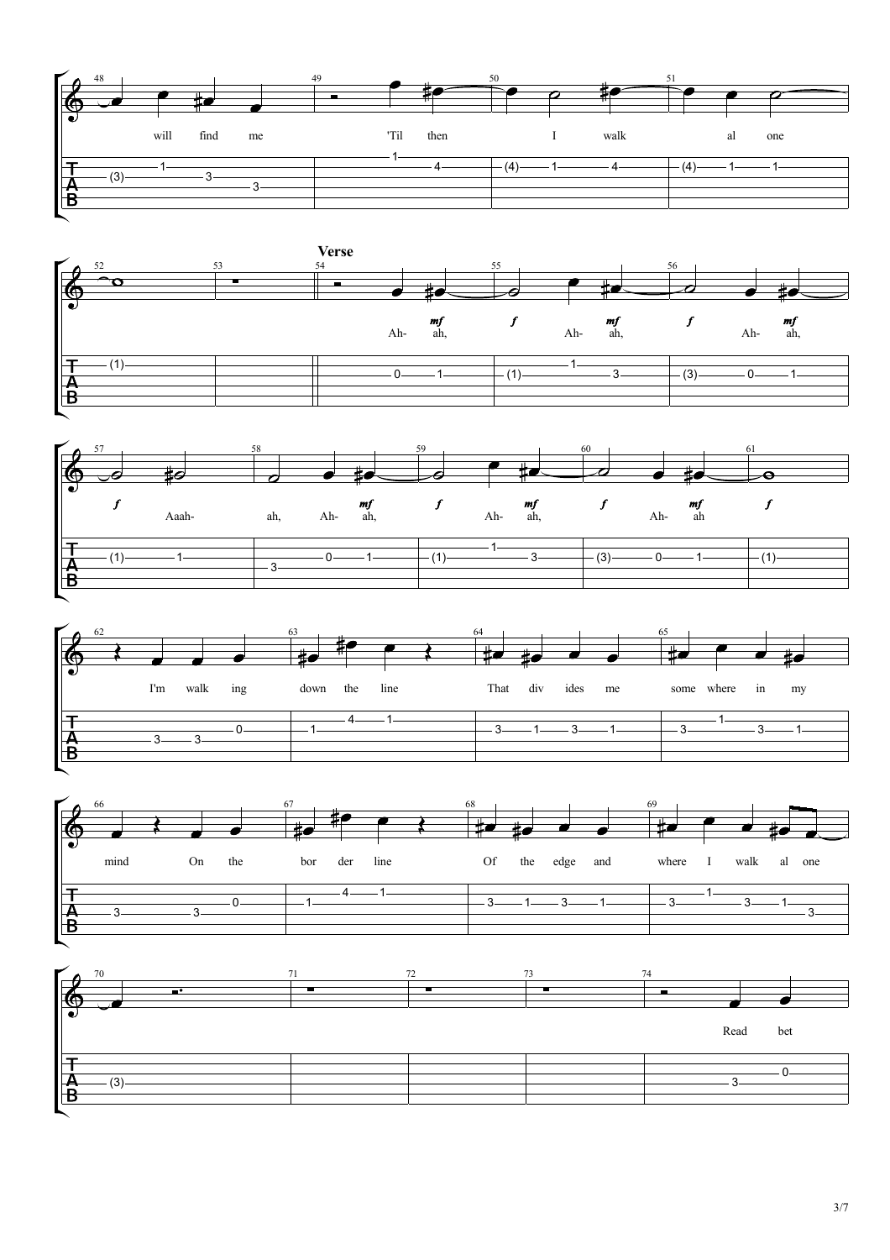









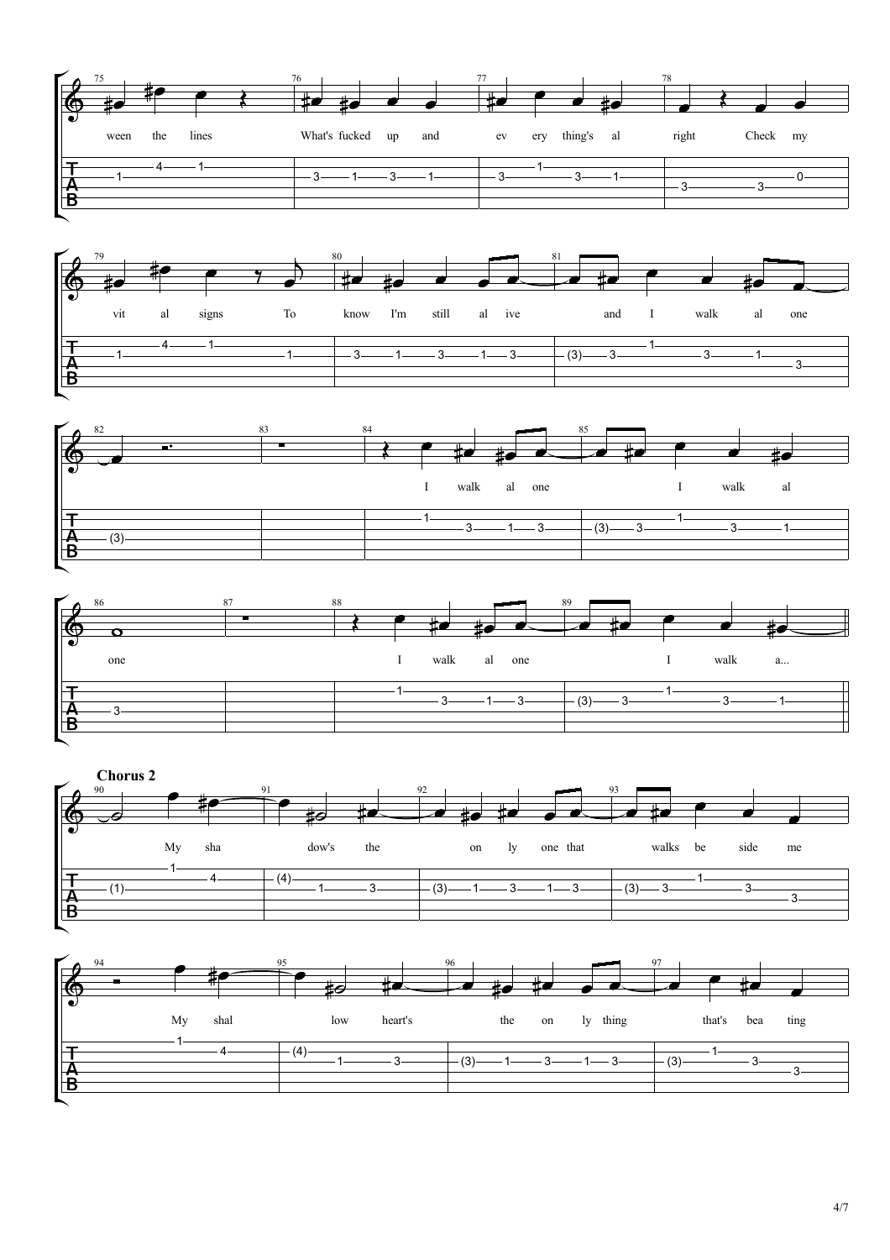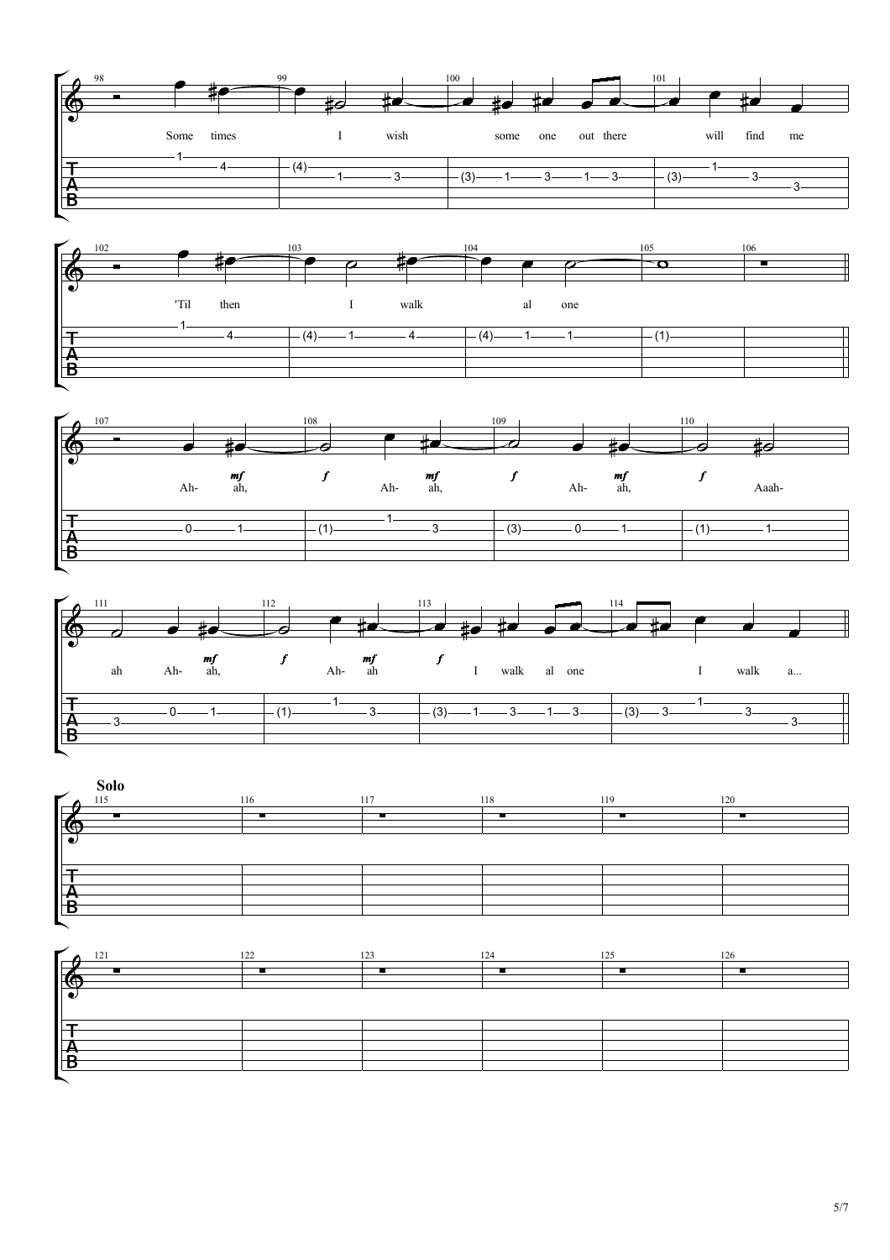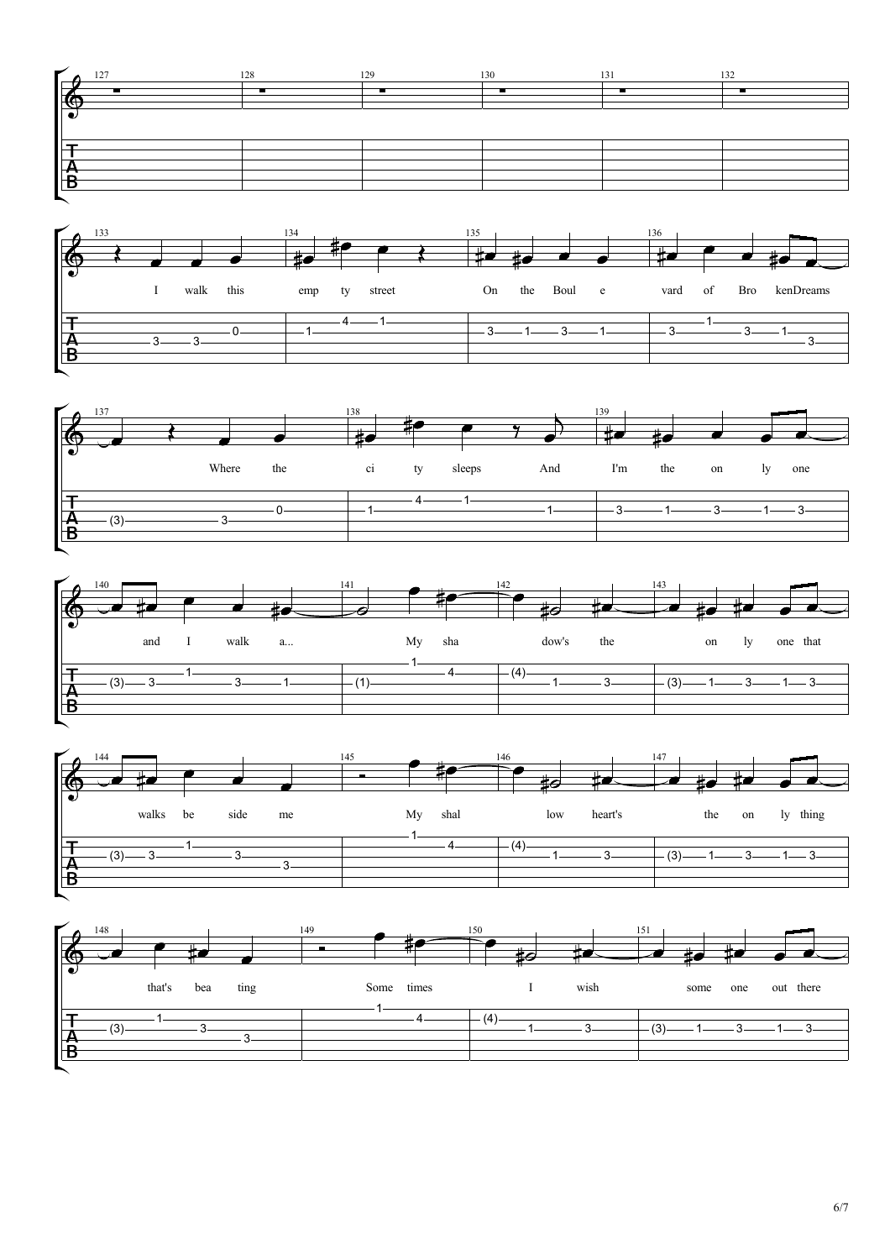